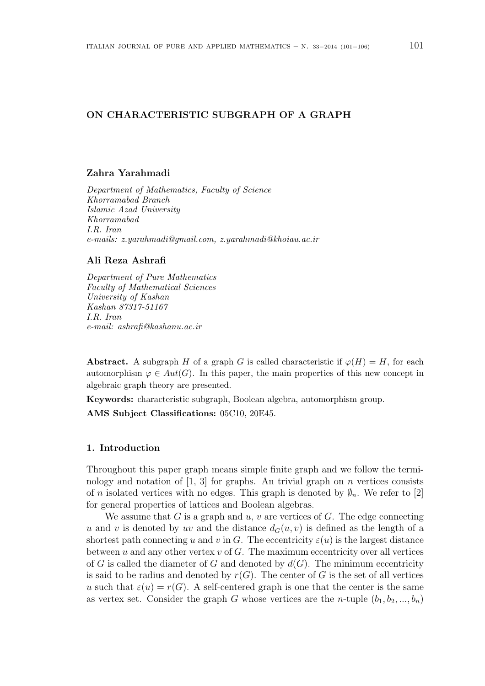# ON CHARACTERISTIC SUBGRAPH OF A GRAPH

## Zahra Yarahmadi

Department of Mathematics, Faculty of Science Khorramabad Branch Islamic Azad University Khorramabad I.R. Iran e-mails: z.yarahmadi@gmail.com, z.yarahmadi@khoiau.ac.ir

## Ali Reza Ashrafi

Department of Pure Mathematics Faculty of Mathematical Sciences University of Kashan Kashan 87317-51167 I.R. Iran e-mail: ashrafi@kashanu.ac.ir

Abstract. A subgraph H of a graph G is called characteristic if  $\varphi(H) = H$ , for each automorphism  $\varphi \in Aut(G)$ . In this paper, the main properties of this new concept in algebraic graph theory are presented.

Keywords: characteristic subgraph, Boolean algebra, automorphism group. AMS Subject Classifications: 05C10, 20E45.

#### 1. Introduction

Throughout this paper graph means simple finite graph and we follow the terminology and notation of  $[1, 3]$  for graphs. An trivial graph on *n* vertices consists of n isolated vertices with no edges. This graph is denoted by  $\varnothing_n$ . We refer to [2] for general properties of lattices and Boolean algebras.

We assume that  $G$  is a graph and  $u, v$  are vertices of  $G$ . The edge connecting u and v is denoted by uv and the distance  $d_G(u, v)$  is defined as the length of a shortest path connecting u and v in G. The eccentricity  $\varepsilon(u)$  is the largest distance between u and any other vertex  $v$  of  $G$ . The maximum eccentricity over all vertices of G is called the diameter of G and denoted by  $d(G)$ . The minimum eccentricity is said to be radius and denoted by  $r(G)$ . The center of G is the set of all vertices u such that  $\varepsilon(u) = r(G)$ . A self-centered graph is one that the center is the same as vertex set. Consider the graph G whose vertices are the *n*-tuple  $(b_1, b_2, ..., b_n)$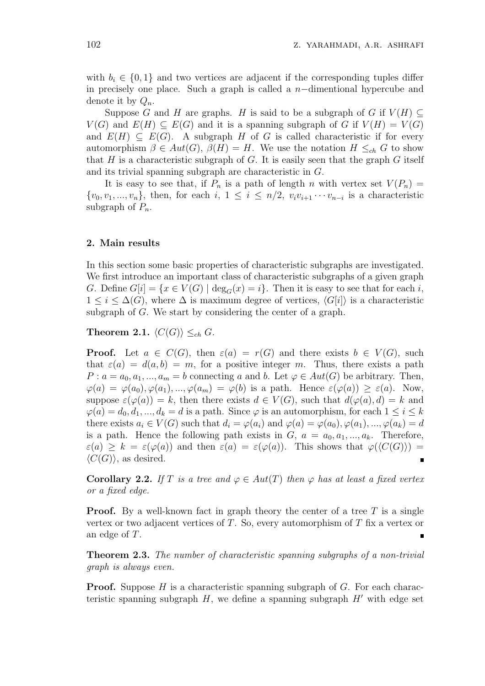with  $b_i \in \{0,1\}$  and two vertices are adjacent if the corresponding tuples differ in precisely one place. Such a graph is called a n−dimentional hypercube and denote it by  $Q_n$ .

Suppose G and H are graphs. H is said to be a subgraph of G if  $V(H) \subset$  $V(G)$  and  $E(H) \subseteq E(G)$  and it is a spanning subgraph of G if  $V(H) = V(G)$ and  $E(H) \subseteq E(G)$ . A subgraph H of G is called characteristic if for every automorphism  $\beta \in Aut(G)$ ,  $\beta(H) = H$ . We use the notation  $H \leq_{ch} G$  to show that H is a characteristic subgraph of G. It is easily seen that the graph  $G$  itself and its trivial spanning subgraph are characteristic in G.

It is easy to see that, if  $P_n$  is a path of length n with vertex set  $V(P_n)$  =  $\{v_0, v_1, ..., v_n\}$ , then, for each  $i, 1 \leq i \leq n/2$ ,  $v_i v_{i+1} \cdots v_{n-i}$  is a characteristic subgraph of  $P_n$ .

#### 2. Main results

In this section some basic properties of characteristic subgraphs are investigated. We first introduce an important class of characteristic subgraphs of a given graph G. Define  $G[i] = \{x \in V(G) \mid \text{deg}_G(x) = i\}.$  Then it is easy to see that for each i,  $1 \leq i \leq \Delta(G)$ , where  $\Delta$  is maximum degree of vertices,  $\langle G[i] \rangle$  is a characteristic subgraph of G. We start by considering the center of a graph.

Theorem 2.1.  $\langle C(G) \rangle \leq_{ch} G$ .

**Proof.** Let  $a \in C(G)$ , then  $\varepsilon(a) = r(G)$  and there exists  $b \in V(G)$ , such that  $\varepsilon(a) = d(a, b) = m$ , for a positive integer m. Thus, there exists a path  $P: a = a_0, a_1, ..., a_m = b$  connecting a and b. Let  $\varphi \in Aut(G)$  be arbitrary. Then,  $\varphi(a) = \varphi(a_0), \varphi(a_1), ..., \varphi(a_m) = \varphi(b)$  is a path. Hence  $\varepsilon(\varphi(a)) \geq \varepsilon(a)$ . Now, suppose  $\varepsilon(\varphi(a)) = k$ , then there exists  $d \in V(G)$ , such that  $d(\varphi(a), d) = k$  and  $\varphi(a) = d_0, d_1, ..., d_k = d$  is a path. Since  $\varphi$  is an automorphism, for each  $1 \leq i \leq k$ there exists  $a_i \in V(G)$  such that  $d_i = \varphi(a_i)$  and  $\varphi(a) = \varphi(a_0), \varphi(a_1), ..., \varphi(a_k) = d$ is a path. Hence the following path exists in  $G, a = a_0, a_1, ..., a_k$ . Therefore,  $\varepsilon(a) \geq k = \varepsilon(\varphi(a))$  and then  $\varepsilon(a) = \varepsilon(\varphi(a))$ . This shows that  $\varphi(\langle C(G) \rangle) =$  $\langle C(G) \rangle$ , as desired.  $\blacksquare$ 

**Corollary 2.2.** If T is a tree and  $\varphi \in Aut(T)$  then  $\varphi$  has at least a fixed vertex or a fixed edge.

**Proof.** By a well-known fact in graph theory the center of a tree  $T$  is a single vertex or two adjacent vertices of  $T$ . So, every automorphism of  $T$  fix a vertex or an edge of T.

**Theorem 2.3.** The number of characteristic spanning subgraphs of a non-trivial graph is always even.

**Proof.** Suppose H is a characteristic spanning subgraph of G. For each characteristic spanning subgraph  $H$ , we define a spanning subgraph  $H'$  with edge set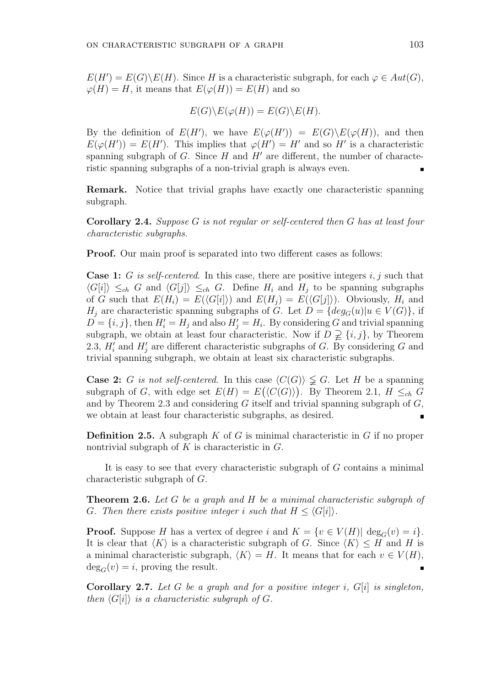$E(H') = E(G) \backslash E(H)$ . Since H is a characteristic subgraph, for each  $\varphi \in Aut(G)$ ,  $\varphi(H) = H$ , it means that  $E(\varphi(H)) = E(H)$  and so

$$
E(G)\backslash E(\varphi(H)) = E(G)\backslash E(H).
$$

By the definition of  $E(H')$ , we have  $E(\varphi(H')) = E(G)\E(\varphi(H))$ , and then  $E(\varphi(H')) = E(H')$ . This implies that  $\varphi(H') = H'$  and so H' is a characteristic spanning subgraph of G. Since  $H$  and  $H'$  are different, the number of characteristic spanning subgraphs of a non-trivial graph is always even.

Remark. Notice that trivial graphs have exactly one characteristic spanning subgraph.

Corollary 2.4. Suppose G is not regular or self-centered then G has at least four characteristic subgraphs.

Proof. Our main proof is separated into two different cases as follows:

**Case 1:** G is self-centered. In this case, there are positive integers  $i, j$  such that  $\langle G[i] \rangle \leq_{ch} G$  and  $\langle G[j] \rangle \leq_{ch} G$ . Define  $H_i$  and  $H_j$  to be spanning subgraphs of G such that  $E(H_i) = E(\langle G[i] \rangle)$  and  $E(H_i) = E(\langle G[j] \rangle)$ . Obviously,  $H_i$  and  $H_j$  are characteristic spanning subgraphs of G. Let  $D = \{deg_G(u) | u \in V(G)\},\$ if  $D = \{i, j\}$ , then  $H_i' = H_j$  and also  $H_j' = H_i$ . By considering G and trivial spanning subgraph, we obtain at least four characteristic. Now if  $D \supsetneq \{i, j\}$ , by Theorem 2.3,  $H'_i$  and  $H'_j$  are different characteristic subgraphs of G. By considering G and trivial spanning subgraph, we obtain at least six characteristic subgraphs.

**Case 2:** G is not self-centered. In this case  $\langle C(G) \rangle \nleq G$ . Let H be a spanning subgraph of G, with edge set  $E(H) = E(\langle C(G) \rangle)$ . By Theorem 2.1,  $H \leq_{ch} G$ and by Theorem 2.3 and considering  $G$  itself and trivial spanning subgraph of  $G$ , we obtain at least four characteristic subgraphs, as desired.

**Definition 2.5.** A subgraph  $K$  of  $G$  is minimal characteristic in  $G$  if no proper nontrivial subgraph of  $K$  is characteristic in  $G$ .

It is easy to see that every characteristic subgraph of G contains a minimal characteristic subgraph of G.

Theorem 2.6. Let G be a graph and H be a minimal characteristic subgraph of G. Then there exists positive integer i such that  $H \leq \langle G[i] \rangle$ .

**Proof.** Suppose H has a vertex of degree i and  $K = \{v \in V(H) | \deg_G(v) = i\}.$ It is clear that  $\langle K \rangle$  is a characteristic subgraph of G. Since  $\langle K \rangle \leq H$  and H is a minimal characteristic subgraph,  $\langle K \rangle = H$ . It means that for each  $v \in V(H)$ ,  $deg_G(v) = i$ , proving the result.

**Corollary 2.7.** Let G be a graph and for a positive integer i,  $G[i]$  is singleton, then  $\langle G[i]\rangle$  is a characteristic subgraph of G.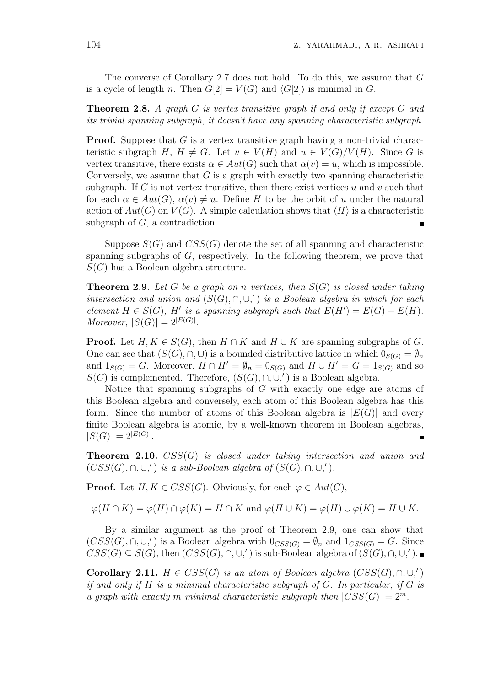The converse of Corollary 2.7 does not hold. To do this, we assume that G is a cycle of length n. Then  $G[2] = V(G)$  and  $\langle G[2] \rangle$  is minimal in G.

**Theorem 2.8.** A graph G is vertex transitive graph if and only if except G and its trivial spanning subgraph, it doesn't have any spanning characteristic subgraph.

**Proof.** Suppose that  $G$  is a vertex transitive graph having a non-trivial characteristic subgraph H,  $H \neq G$ . Let  $v \in V(H)$  and  $u \in V(G)/V(H)$ . Since G is vertex transitive, there exists  $\alpha \in Aut(G)$  such that  $\alpha(v) = u$ , which is impossible. Conversely, we assume that  $G$  is a graph with exactly two spanning characteristic subgraph. If G is not vertex transitive, then there exist vertices  $u$  and  $v$  such that for each  $\alpha \in Aut(G)$ ,  $\alpha(v) \neq u$ . Define H to be the orbit of u under the natural action of  $Aut(G)$  on  $V(G)$ . A simple calculation shows that  $\langle H \rangle$  is a characteristic subgraph of  $G$ , a contradiction.

Suppose  $S(G)$  and  $CSS(G)$  denote the set of all spanning and characteristic spanning subgraphs of  $G$ , respectively. In the following theorem, we prove that  $S(G)$  has a Boolean algebra structure.

**Theorem 2.9.** Let G be a graph on n vertices, then  $S(G)$  is closed under taking intersection and union and  $(S(G), \cap, \cup,')$  is a Boolean algebra in which for each element  $H \in S(G)$ , H' is a spanning subgraph such that  $E(H') = E(G) - E(H)$ . Moreover,  $|S(G)| = 2^{|E(G)|}$ .

**Proof.** Let  $H, K \in S(G)$ , then  $H \cap K$  and  $H \cup K$  are spanning subgraphs of G. One can see that  $(S(G), \cap, \cup)$  is a bounded distributive lattice in which  $0_{S(G)} = \emptyset_n$ and  $1_{S(G)} = G$ . Moreover,  $H \cap H' = \emptyset_n = 0_{S(G)}$  and  $H \cup H' = G = 1_{S(G)}$  and so  $S(G)$  is complemented. Therefore,  $(S(G), \cap, \cup,')$  is a Boolean algebra.

Notice that spanning subgraphs of  $G$  with exactly one edge are atoms of this Boolean algebra and conversely, each atom of this Boolean algebra has this form. Since the number of atoms of this Boolean algebra is  $|E(G)|$  and every finite Boolean algebra is atomic, by a well-known theorem in Boolean algebras,  $|S(G)| = 2^{|E(G)|}$ .

**Theorem 2.10.**  $CSS(G)$  is closed under taking intersection and union and  $(CSS(G), \cap, \cup,')$  is a sub-Boolean algebra of  $(S(G), \cap, \cup,')$ .

**Proof.** Let  $H, K \in CSS(G)$ . Obviously, for each  $\varphi \in Aut(G)$ ,

 $\varphi(H \cap K) = \varphi(H) \cap \varphi(K) = H \cap K$  and  $\varphi(H \cup K) = \varphi(H) \cup \varphi(K) = H \cup K$ .

By a similar argument as the proof of Theorem 2.9, one can show that  $(CSS(G), \cap, \cup,')$  is a Boolean algebra with  $0_{CSS(G)} = \emptyset_n$  and  $1_{CSS(G)} = G$ . Since  $CSS(G) \subseteq S(G)$ , then  $(CSS(G), \cap, \cup,')$  is sub-Boolean algebra of  $(S(G), \cap, \cup,')$ .

Corollary 2.11.  $H \in CSS(G)$  is an atom of Boolean algebra  $(CSS(G), \cap, \cup,')$ if and only if  $H$  is a minimal characteristic subgraph of  $G$ . In particular, if  $G$  is a graph with exactly m minimal characteristic subgraph then  $|CSS(G)| = 2^m$ .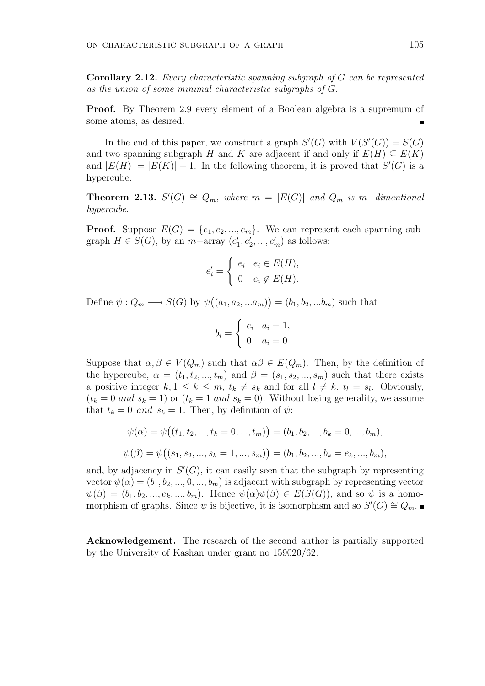Corollary 2.12. Every characteristic spanning subgraph of G can be represented as the union of some minimal characteristic subgraphs of G.

Proof. By Theorem 2.9 every element of a Boolean algebra is a supremum of some atoms, as desired.

In the end of this paper, we construct a graph  $S'(G)$  with  $V(S'(G)) = S(G)$ and two spanning subgraph H and K are adjacent if and only if  $E(H) \subseteq E(K)$ and  $|E(H)| = |E(K)| + 1$ . In the following theorem, it is proved that  $S'(G)$  is a hypercube.

**Theorem 2.13.**  $S'(G) \cong Q_m$ , where  $m = |E(G)|$  and  $Q_m$  is m-dimentional hypercube.

**Proof.** Suppose  $E(G) = \{e_1, e_2, ..., e_m\}$ . We can represent each spanning subgraph  $H \in S(G)$ , by an  $m$ -array  $(e'_1, e'_2, ..., e'_m)$  as follows:

$$
e'_{i} = \begin{cases} e_{i} & e_{i} \in E(H), \\ 0 & e_{i} \notin E(H). \end{cases}
$$

Define  $\psi: Q_m \longrightarrow S(G)$  by  $\psi$ ¡  $(a_1, a_2, ... a_m)$ ¢  $=(b_1, b_2, ... b_m)$  such that

$$
b_i = \begin{cases} e_i & a_i = 1, \\ 0 & a_i = 0. \end{cases}
$$

Suppose that  $\alpha, \beta \in V(Q_m)$  such that  $\alpha\beta \in E(Q_m)$ . Then, by the definition of the hypercube,  $\alpha = (t_1, t_2, ..., t_m)$  and  $\beta = (s_1, s_2, ..., s_m)$  such that there exists a positive integer  $k, 1 \leq k \leq m$ ,  $t_k \neq s_k$  and for all  $l \neq k$ ,  $t_l = s_l$ . Obviously,  $(t_k = 0 \text{ and } s_k = 1)$  or  $(t_k = 1 \text{ and } s_k = 0)$ . Without losing generality, we assume that  $t_k = 0$  and  $s_k = 1$ . Then, by definition of  $\psi$ :

$$
\psi(\alpha) = \psi((t_1, t_2, ..., t_k = 0, ..., t_m)) = (b_1, b_2, ..., b_k = 0, ..., b_m),
$$
  

$$
\psi(\beta) = \psi((s_1, s_2, ..., s_k = 1, ..., s_m)) = (b_1, b_2, ..., b_k = e_k, ..., b_m),
$$

and, by adjacency in  $S'(G)$ , it can easily seen that the subgraph by representing vector  $\psi(\alpha) = (b_1, b_2, ..., 0, ..., b_m)$  is adjacent with subgraph by representing vector  $\psi(\beta) = (b_1, b_2, ..., e_k, ..., b_m)$ . Hence  $\psi(\alpha)\psi(\beta) \in E(S(G))$ , and so  $\psi$  is a homomorphism of graphs. Since  $\psi$  is bijective, it is isomorphism and so  $S'(G) \cong Q_m$ .

Acknowledgement. The research of the second author is partially supported by the University of Kashan under grant no 159020/62.